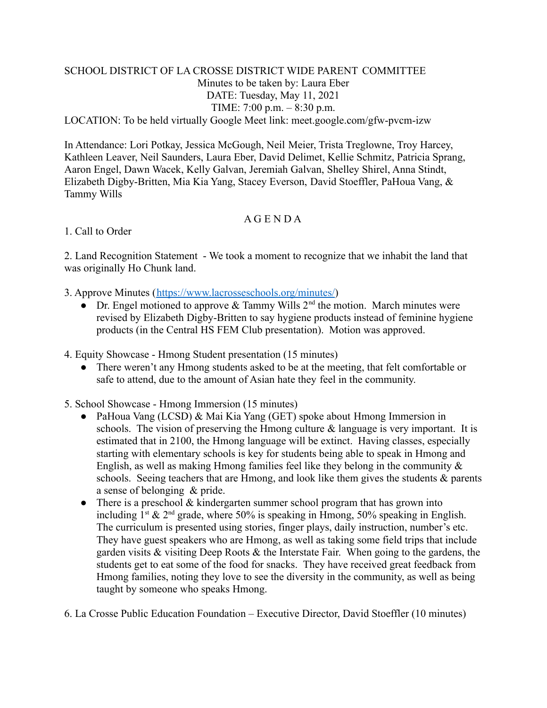## SCHOOL DISTRICT OF LA CROSSE DISTRICT WIDE PARENT COMMITTEE Minutes to be taken by: Laura Eber DATE: Tuesday, May 11, 2021 TIME: 7:00 p.m. – 8:30 p.m.

LOCATION: To be held virtually Google Meet link: meet.google.com/gfw-pvcm-izw

In Attendance: Lori Potkay, Jessica McGough, Neil Meier, Trista Treglowne, Troy Harcey, Kathleen Leaver, Neil Saunders, Laura Eber, David Delimet, Kellie Schmitz, Patricia Sprang, Aaron Engel, Dawn Wacek, Kelly Galvan, Jeremiah Galvan, Shelley Shirel, Anna Stindt, Elizabeth Digby-Britten, Mia Kia Yang, Stacey Everson, David Stoeffler, PaHoua Vang, & Tammy Wills

## A G E N D A

## 1. Call to Order

2. Land Recognition Statement - We took a moment to recognize that we inhabit the land that was originally Ho Chunk land.

- 3. Approve Minutes ([https://www.lacrosseschools.org/minutes/\)](https://www.lacrosseschools.org/minutes/)
	- Dr. Engel motioned to approve  $&$  Tammy Wills  $2^{\text{nd}}$  the motion. March minutes were revised by Elizabeth Digby-Britten to say hygiene products instead of feminine hygiene products (in the Central HS FEM Club presentation). Motion was approved.

4. Equity Showcase - Hmong Student presentation (15 minutes)

- There weren't any Hmong students asked to be at the meeting, that felt comfortable or safe to attend, due to the amount of Asian hate they feel in the community.
- 5. School Showcase Hmong Immersion (15 minutes)
	- PaHoua Vang (LCSD) & Mai Kia Yang (GET) spoke about Hmong Immersion in schools. The vision of preserving the Hmong culture  $\&$  language is very important. It is estimated that in 2100, the Hmong language will be extinct. Having classes, especially starting with elementary schools is key for students being able to speak in Hmong and English, as well as making Hmong families feel like they belong in the community  $\&$ schools. Seeing teachers that are Hmong, and look like them gives the students & parents a sense of belonging & pride.
	- There is a preschool  $&$  kindergarten summer school program that has grown into including  $1^{st}$  &  $2^{nd}$  grade, where 50% is speaking in Hmong, 50% speaking in English. The curriculum is presented using stories, finger plays, daily instruction, number's etc. They have guest speakers who are Hmong, as well as taking some field trips that include garden visits & visiting Deep Roots & the Interstate Fair. When going to the gardens, the students get to eat some of the food for snacks. They have received great feedback from Hmong families, noting they love to see the diversity in the community, as well as being taught by someone who speaks Hmong.
- 6. La Crosse Public Education Foundation Executive Director, David Stoeffler (10 minutes)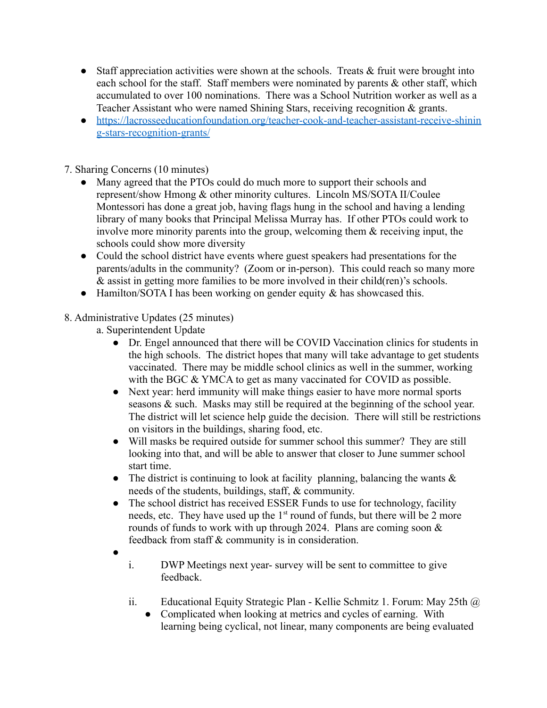- Staff appreciation activities were shown at the schools. Treats & fruit were brought into each school for the staff. Staff members were nominated by parents & other staff, which accumulated to over 100 nominations. There was a School Nutrition worker as well as a Teacher Assistant who were named Shining Stars, receiving recognition & grants.
- [https://lacrosseeducationfoundation.org/teacher-cook-and-teacher-assistant-receive-shinin](https://lacrosseeducationfoundation.org/teacher-cook-and-teacher-assistant-receive-shining-stars-recognition-grants/) [g-stars-recognition-grants/](https://lacrosseeducationfoundation.org/teacher-cook-and-teacher-assistant-receive-shining-stars-recognition-grants/)

7. Sharing Concerns (10 minutes)

- Many agreed that the PTOs could do much more to support their schools and represent/show Hmong & other minority cultures. Lincoln MS/SOTA II/Coulee Montessori has done a great job, having flags hung in the school and having a lending library of many books that Principal Melissa Murray has. If other PTOs could work to involve more minority parents into the group, welcoming them  $\&$  receiving input, the schools could show more diversity
- Could the school district have events where guest speakers had presentations for the parents/adults in the community? (Zoom or in-person). This could reach so many more & assist in getting more families to be more involved in their child(ren)'s schools.
- Hamilton/SOTA I has been working on gender equity  $\&$  has showcased this.

## 8. Administrative Updates (25 minutes)

- a. Superintendent Update
	- Dr. Engel announced that there will be COVID Vaccination clinics for students in the high schools. The district hopes that many will take advantage to get students vaccinated. There may be middle school clinics as well in the summer, working with the BGC & YMCA to get as many vaccinated for COVID as possible.
	- Next year: herd immunity will make things easier to have more normal sports seasons & such. Masks may still be required at the beginning of the school year. The district will let science help guide the decision. There will still be restrictions on visitors in the buildings, sharing food, etc.
	- Will masks be required outside for summer school this summer? They are still looking into that, and will be able to answer that closer to June summer school start time.
	- The district is continuing to look at facility planning, balancing the wants  $\&$ needs of the students, buildings, staff, & community.
	- The school district has received ESSER Funds to use for technology, facility needs, etc. They have used up the 1<sup>st</sup> round of funds, but there will be 2 more rounds of funds to work with up through 2024. Plans are coming soon  $\&$ feedback from staff & community is in consideration.
	- ●
- i. DWP Meetings next year- survey will be sent to committee to give feedback.
- ii. Educational Equity Strategic Plan Kellie Schmitz 1. Forum: May 25th @
	- Complicated when looking at metrics and cycles of earning. With learning being cyclical, not linear, many components are being evaluated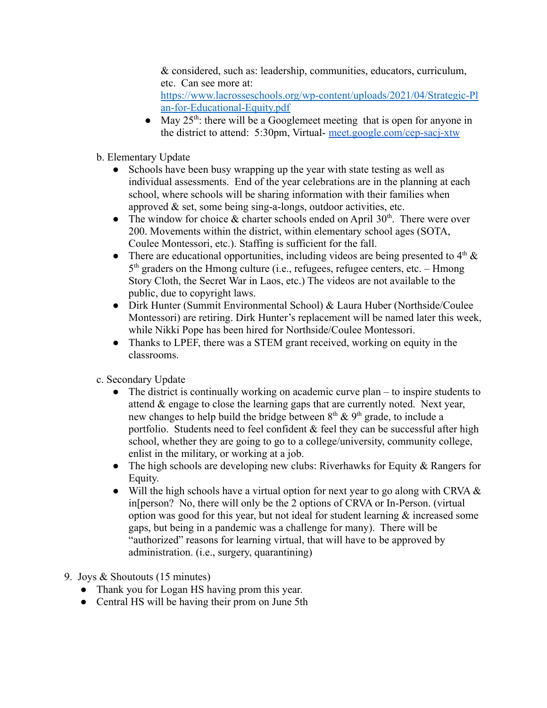& considered, such as: leadership, communities, educators, curriculum, etc. Can see more at:

[https://www.lacrosseschools.org/wp-content/uploads/2021/04/Strategic-Pl](https://www.lacrosseschools.org/wp-content/uploads/2021/04/Strategic-Plan-for-Educational-Equity.pdf) [an-for-Educational-Equity.pdf](https://www.lacrosseschools.org/wp-content/uploads/2021/04/Strategic-Plan-for-Educational-Equity.pdf)

- May  $25<sup>th</sup>$ : there will be a Googlemeet meeting that is open for anyone in the district to attend: 5:30pm, Virtual- [meet.google.com/cep-sacj-xtw](http://meet.google.com/cep-sacj-xtw)
- b. Elementary Update
	- Schools have been busy wrapping up the year with state testing as well as individual assessments. End of the year celebrations are in the planning at each school, where schools will be sharing information with their families when approved & set, some being sing-a-longs, outdoor activities, etc.
	- The window for choice  $\&$  charter schools ended on April 30<sup>th</sup>. There were over 200. Movements within the district, within elementary school ages (SOTA, Coulee Montessori, etc.). Staffing is sufficient for the fall.
	- There are educational opportunities, including videos are being presented to  $4<sup>th</sup> \&$ 5<sup>th</sup> graders on the Hmong culture (i.e., refugees, refugee centers, etc. – Hmong Story Cloth, the Secret War in Laos, etc.) The videos are not available to the public, due to copyright laws.
	- Dirk Hunter (Summit Environmental School) & Laura Huber (Northside/Coulee Montessori) are retiring. Dirk Hunter's replacement will be named later this week, while Nikki Pope has been hired for Northside/Coulee Montessori.
	- Thanks to LPEF, there was a STEM grant received, working on equity in the classrooms.
- c. Secondary Update
	- $\bullet$  The district is continually working on academic curve plan to inspire students to attend & engage to close the learning gaps that are currently noted. Next year, new changes to help build the bridge between  $8<sup>th</sup>$  &  $9<sup>th</sup>$  grade, to include a portfolio. Students need to feel confident  $\&$  feel they can be successful after high school, whether they are going to go to a college/university, community college, enlist in the military, or working at a job.
	- The high schools are developing new clubs: Riverhawks for Equity & Rangers for Equity.
	- Will the high schools have a virtual option for next year to go along with CRVA & in[person? No, there will only be the 2 options of CRVA or In-Person. (virtual option was good for this year, but not ideal for student learning  $\&$  increased some gaps, but being in a pandemic was a challenge for many). There will be "authorized" reasons for learning virtual, that will have to be approved by administration. (i.e., surgery, quarantining)
- 9. Joys & Shoutouts (15 minutes)
	- Thank you for Logan HS having prom this year.
	- Central HS will be having their prom on June 5th